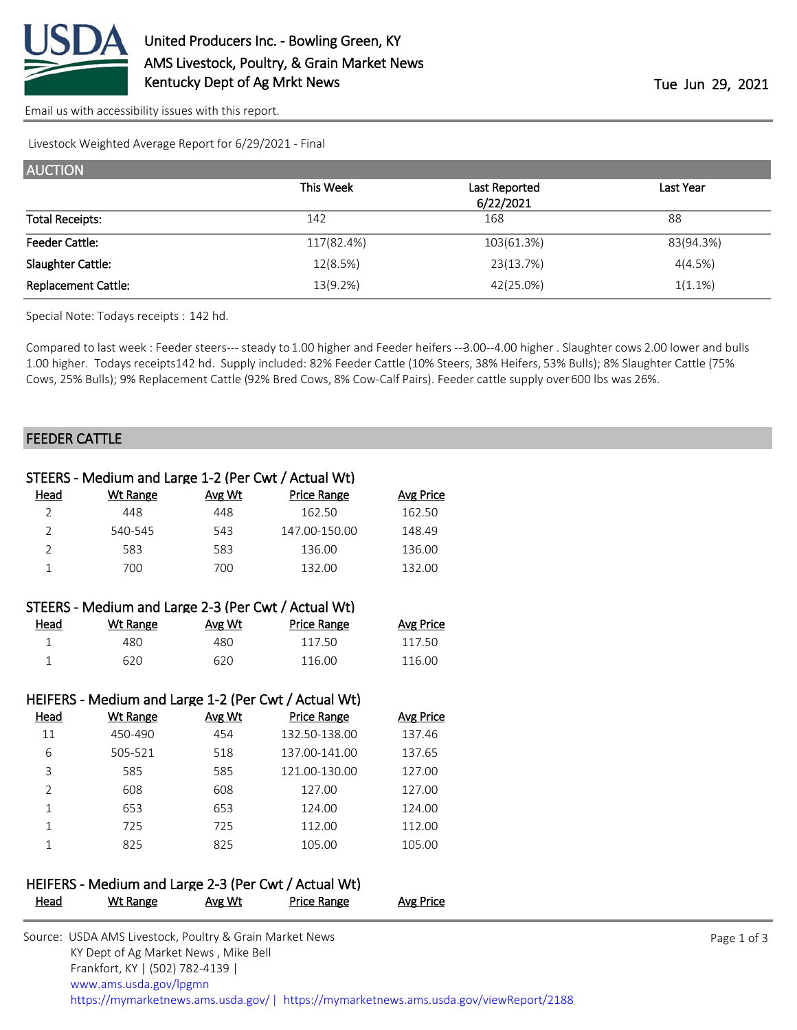

[Email us with accessibility issues with this report.](mailto:mars@ams.usda.gov?subject=508%20issue)

Livestock Weighted Average Report for 6/29/2021 - Final

| <b>AUCTION</b>         |            |               |            |
|------------------------|------------|---------------|------------|
|                        | This Week  | Last Reported | Last Year  |
|                        |            | 6/22/2021     |            |
| <b>Total Receipts:</b> | 142        | 168           | 88         |
| <b>Feeder Cattle:</b>  | 117(82.4%) | 103(61.3%)    | 83(94.3%)  |
| Slaughter Cattle:      | 12(8.5%)   | 23(13.7%)     | 4(4.5%)    |
| Replacement Cattle:    | 13(9.2%)   | 42(25.0%)     | $1(1.1\%)$ |

Special Note: Todays receipts : 142 hd.

Compared to last week : Feeder steers--- steady to 1.00 higher and Feeder heifers --3.00--4.00 higher . Slaughter cows 2.00 lower and bulls 1.00 higher. Todays receipts 142 hd. Supply included: 82% Feeder Cattle (10% Steers, 38% Heifers, 53% Bulls); 8% Slaughter Cattle (75% Cows, 25% Bulls); 9% Replacement Cattle (92% Bred Cows, 8% Cow-Calf Pairs). Feeder cattle supply over 600 lbs was 26%.

#### FEEDER CATTLE

|                |                 |        | STEERS - Medium and Large 1-2 (Per Cwt / Actual Wt)  |                  |  |
|----------------|-----------------|--------|------------------------------------------------------|------------------|--|
| Head           | <b>Wt Range</b> | Avg Wt | <b>Price Range</b>                                   | <b>Avg Price</b> |  |
| $\overline{2}$ | 448             | 448    | 162.50                                               | 162.50           |  |
| $\overline{2}$ | 540-545         | 543    | 147.00-150.00                                        | 148.49           |  |
| $\overline{2}$ | 583             | 583    | 136.00                                               | 136.00           |  |
| $\mathbf{1}$   | 700             | 700    | 132.00                                               | 132.00           |  |
|                |                 |        | STEERS - Medium and Large 2-3 (Per Cwt / Actual Wt)  |                  |  |
| Head           | <b>Wt Range</b> | Avg Wt | <b>Price Range</b>                                   | <b>Avg Price</b> |  |
| $\mathbf 1$    | 480             | 480    | 117.50                                               | 117.50           |  |
| $\mathbf{1}$   | 620             | 620    | 116.00                                               | 116.00           |  |
|                |                 |        |                                                      |                  |  |
|                |                 |        | HEIFERS - Medium and Large 1-2 (Per Cwt / Actual Wt) |                  |  |
| <u>Head</u>    | <b>Wt Range</b> | Avg Wt | <b>Price Range</b>                                   | <b>Avg Price</b> |  |
| 11             | 450-490         | 454    | 132.50-138.00                                        | 137.46           |  |
| 6              | 505-521         | 518    | 137.00-141.00                                        | 137.65           |  |
| 3              | 585             | 585    | 121.00-130.00                                        | 127.00           |  |
| $\overline{2}$ | 608             | 608    | 127.00                                               | 127.00           |  |
| $\mathbf{1}$   | 653             | 653    | 124.00                                               | 124.00           |  |
| $\mathbf{1}$   | 725             | 725    | 112.00                                               | 112.00           |  |
| 1              | 825             | 825    | 105.00                                               | 105.00           |  |
|                |                 |        |                                                      |                  |  |
|                |                 |        | HEIFERS - Medium and Large 2-3 (Per Cwt / Actual Wt) |                  |  |
| <u>Head</u>    | <b>Wt Range</b> | Avg Wt | <b>Price Range</b>                                   | <b>Avg Price</b> |  |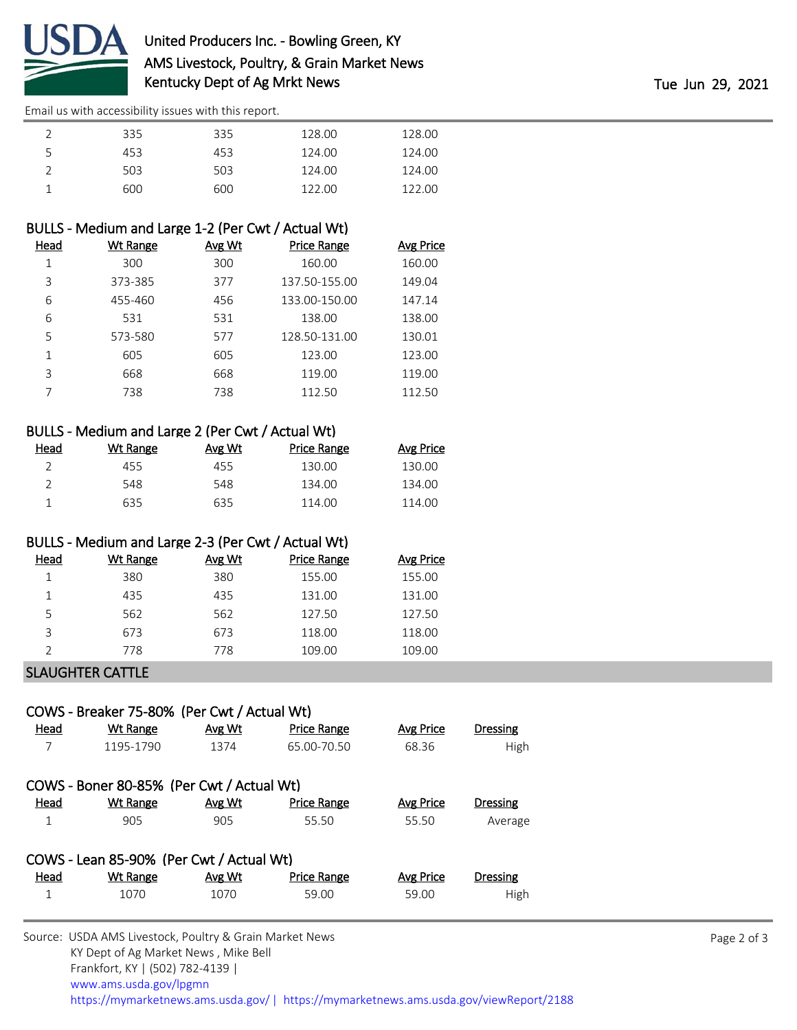

[Email us with accessibility issues with this report.](mailto:mars@ams.usda.gov?subject=508%20issue)

|   | 335 | 335 | 128.00 | 128.00 |
|---|-----|-----|--------|--------|
| ∽ | 453 | 453 | 124.00 | 124.00 |
|   | 503 | 503 | 124.00 | 124.00 |
|   | 600 | 600 | 122.00 | 122.00 |

### BULLS - Medium and Large 1-2 (Per Cwt / Actual Wt)

| Head | Wt Range | Avg Wt | <b>Price Range</b> | <b>Avg Price</b> |
|------|----------|--------|--------------------|------------------|
|      | 300      | 300    | 160.00             | 160.00           |
| 3    | 373-385  | 377    | 137.50-155.00      | 149.04           |
| 6    | 455-460  | 456    | 133.00-150.00      | 147.14           |
| 6    | 531      | 531    | 138.00             | 138.00           |
| 5    | 573-580  | 577    | 128.50-131.00      | 130.01           |
| 1    | 605      | 605    | 123.00             | 123.00           |
| 3    | 668      | 668    | 119.00             | 119.00           |
|      | 738      | 738    | 112.50             | 112.50           |

## BULLS - Medium and Large 2 (Per Cwt / Actual Wt)

| Head | Wt Range | Avg Wt | Price Range | Avg Price |
|------|----------|--------|-------------|-----------|
|      | 455      | 455    | 130.00      | 130.00    |
|      | 548      | 548    | 134.00      | 134.00    |
|      | 635      | 635    | 114.00      | 114.00    |

#### BULLS - Medium and Large 2-3 (Per Cwt / Actual Wt)

| Head | <b>Wt Range</b> | Avg Wt | <b>Price Range</b> | <b>Avg Price</b> |
|------|-----------------|--------|--------------------|------------------|
|      | 380             | 380    | 155.00             | 155.00           |
|      | 435             | 435    | 131.00             | 131.00           |
| 5    | 562             | 562    | 127.50             | 127.50           |
| ς    | 673             | 673    | 118.00             | 118.00           |
|      | 778             | 778    | 109.00             | 109.00           |
|      |                 |        |                    |                  |

#### SLAUGHTER CATTLE

# COWS - Breaker 75-80% (Per Cwt / Actual Wt) Head Wt Range Avg Wt Price Range Avg Price Dressing 7 1195-1790 1374 65.00-70.50 68.36 High COWS - Boner 80-85% (Per Cwt / Actual Wt) Head Wt Range Avg Wt Price Range Avg Price Dressing 1 905 905 55.50 55.50 Average COWS - Lean 85-90% (Per Cwt / Actual Wt) Head Wt Range Avg Wt Price Range Avg Price Dressing

| $\overline{\phantom{a}}$ | <u>________</u> | <u>.</u>       |       | $\sim$ $\sim$ $\sim$ $\sim$ | _______ |  |
|--------------------------|-----------------|----------------|-------|-----------------------------|---------|--|
|                          |                 |                | 59.00 | 59.00                       | High    |  |
|                          |                 | $\blacksquare$ |       |                             |         |  |